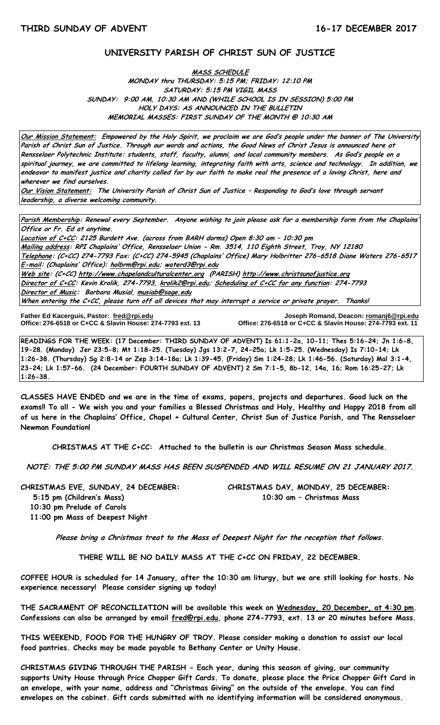## **UNIVERSITY PARISH OF CHRIST SUN OF JUSTICE**

# **MASS SCHEDULE MONDAY thru THURSDAY: 5:15 PM; FRIDAY: 12:10 PM SATURDAY: 5:15 PM VIGIL MASS SUNDAY: 9:00 AM, 10:30 AM AND (WHILE SCHOOL IS IN SESSION) 5:00 PM HOLY DAYS: AS ANNOUNCED IN THE BULLETIN MEMORIAL MASSES: FIRST SUNDAY OF THE MONTH @ 10:30 AM**

**Our Mission Statement: Empowered by the Holy Spirit, we proclaim we are God's people under the banner of The University Parish of Christ Sun of Justice. Through our words and actions, the Good News of Christ Jesus is announced here at Rensselaer Polytechnic Institute: students, staff, faculty, alumni, and local community members. As God's people on a spiritual journey, we are committed to lifelong learning, integrating faith with arts, science and technology. In addition, we endeavor to manifest justice and charity called for by our faith to make real the presence of a loving Christ, here and wherever we find ourselves.**

**Our Vision Statement: The University Parish of Christ Sun of Justice – Responding to God's love through servant leadership, a diverse welcoming community.**

**Parish Membership: Renewal every September. Anyone wishing to join please ask for a membership form from the Chaplains' Office or Fr. Ed at anytime.**

**Location of C+CC: 2125 Burdett Ave. (across from BARH dorms) Open 8:30 am – 10:30 pm Mailing address: RPI Chaplains' Office, Rensselaer Union - Rm. 3514, 110 Eighth Street, Troy, NY 12180 Telephone: (C+CC) 274-7793 Fax: (C+CC) 274-5945 (Chaplains' Office) Mary Holbritter 276-6518 Diane Waters 276-6517 E-mail: (Chaplains' Office): [holbrm@rpi.edu;](mailto:holbrm@rpi.edu) waterd3@rpi.edu Web site: (C+CC[\) http://www.chapelandculturalcenter.org](http://www.chapelandculturalcenter.org/) (PARISH) http://www.christsunofjustice.org Director of C+CC: Kevin Krolik, 274-7793, krolik2@rpi.edu; Scheduling of C+CC for any function: 274-7793 Director of Music: Barbara Musial, [musiab@sage.edu](mailto:musiab@sage.edu) When entering the C+CC, please turn off all devices that may interrupt a service or private prayer. Thanks!** 

**Father Ed Kacerguis, Pastor: [fred@rpi.edu](mailto:fred@rpi.edu) Joseph Romand, Deacon[: romanj6@rpi.edu](mailto:romanj6@rpi.edu)**

**Office: 276-6518 or C+CC & Slavin House: 274-7793 ext. 11** 

**READINGS FOR THE WEEK: (17 December: THIRD SUNDAY OF ADVENT) Is 61:1-2a, 10-11; Thes 5:16-24; Jn 1:6-8, 19-28. (Monday) Jer 23:5-8; Mt 1:18-25. (Tuesday) Jgs 13:2-7, 24-25a; Lk 1:5-25. (Wednesday) Is 7:10-14; Lk 1:26-38. (Thursday) Sg 2:8-14 or Zep 3:14-18a; Lk 1:39-45. (Friday) Sm 1:24-28; Lk 1:46-56. (Saturday) Mal 3:1-4, 23-24; Lk 1:57-66. (24 December: FOURTH SUNDAY OF ADVENT) 2 Sm 7:1-5, 8b-12, 14a, 16; Rom 16:25-27; Lk 1:26-38.**

**CLASSES HAVE ENDED and we are in the time of exams, papers, projects and departures. Good luck on the exams!! To all - We wish you and your families a Blessed Christmas and Holy, Healthy and Happy 2018 from all of us here in the Chaplains' Office, Chapel + Cultural Center, Christ Sun of Justice Parish, and The Rensselaer Newman Foundation!** 

**CHRISTMAS AT THE C+CC: Attached to the bulletin is our Christmas Season Mass schedule.**

**NOTE: THE 5:00 PM SUNDAY MASS HAS BEEN SUSPENDED AND WILL RESUME ON 21 JANUARY 2017.**

**CHRISTMAS EVE, SUNDAY, 24 DECEMBER: CHRISTMAS DAY, MONDAY, 25 DECEMBER: 5:15 pm (Children's Mass) 10:30 am – Christmas Mass**

 **10:30 pm Prelude of Carols 11:00 pm Mass of Deepest Night** 

**Please bring a Christmas treat to the Mass of Deepest Night for the reception that follows.**

**THERE WILL BE NO DAILY MASS AT THE C+CC ON FRIDAY, 22 DECEMBER.**

**COFFEE HOUR is scheduled for 14 January, after the 10:30 am liturgy, but we are still looking for hosts. No experience necessary! Please consider signing up today!** 

**THE SACRAMENT OF RECONCILIATION will be available this week on Wednesday, 20 December, at 4:30 pm. Confessions can also be arranged by email [fred@rpi.edu,](mailto:fred@rpi.edu) phone 274-7793, ext. 13 or 20 minutes before Mass.**

**THIS WEEKEND, FOOD FOR THE HUNGRY OF TROY. Please consider making a donation to assist our local food pantries. Checks may be made payable to Bethany Center or Unity House.**

**CHRISTMAS GIVING THROUGH THE PARISH - Each year, during this season of giving, our community supports Unity House through Price Chopper Gift Cards. To donate, please place the Price Chopper Gift Card in an envelope, with your name, address and "Christmas Giving" on the outside of the envelope. You can find envelopes on the cabinet. Gift cards submitted with no identifying information will be considered anonymous.**